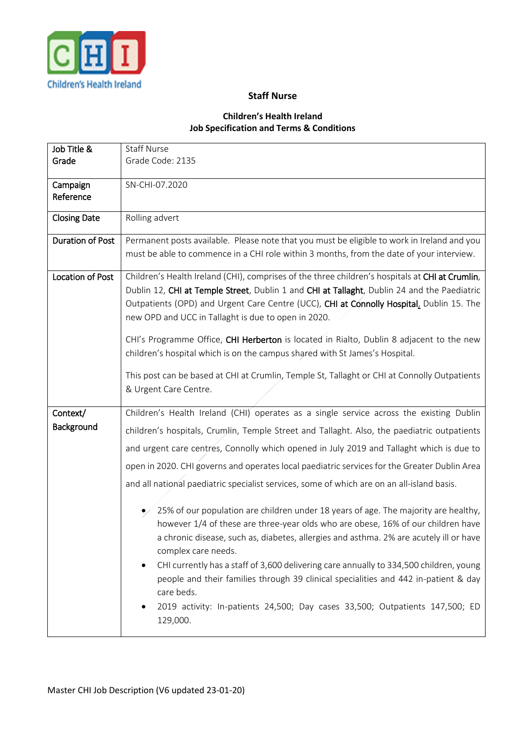

## **Staff Nurse**

## **Children's Health Ireland Job Specification and Terms & Conditions**

| Job Title &             | <b>Staff Nurse</b>                                                                                |
|-------------------------|---------------------------------------------------------------------------------------------------|
| Grade                   | Grade Code: 2135                                                                                  |
| Campaign                | SN-CHI-07.2020                                                                                    |
| Reference               |                                                                                                   |
| <b>Closing Date</b>     | Rolling advert                                                                                    |
| <b>Duration of Post</b> | Permanent posts available. Please note that you must be eligible to work in Ireland and you       |
|                         | must be able to commence in a CHI role within 3 months, from the date of your interview.          |
| Location of Post        | Children's Health Ireland (CHI), comprises of the three children's hospitals at CHI at Crumlin,   |
|                         | Dublin 12, CHI at Temple Street, Dublin 1 and CHI at Tallaght, Dublin 24 and the Paediatric       |
|                         | Outpatients (OPD) and Urgent Care Centre (UCC), CHI at Connolly Hospital, Dublin 15. The          |
|                         | new OPD and UCC in Tallaght is due to open in 2020.                                               |
|                         | CHI's Programme Office, CHI Herberton is located in Rialto, Dublin 8 adjacent to the new          |
|                         | children's hospital which is on the campus shared with St James's Hospital.                       |
|                         | This post can be based at CHI at Crumlin, Temple St, Tallaght or CHI at Connolly Outpatients      |
|                         | & Urgent Care Centre.                                                                             |
|                         |                                                                                                   |
| Context/                | Children's Health Ireland (CHI) operates as a single service across the existing Dublin           |
| Background              | children's hospitals, Crumlin, Temple Street and Tallaght. Also, the paediatric outpatients       |
|                         | and urgent care centres, Connolly which opened in July 2019 and Tallaght which is due to          |
|                         | open in 2020. CHI governs and operates local paediatric services for the Greater Dublin Area      |
|                         | and all national paediatric specialist services, some of which are on an all-island basis.        |
|                         | 25% of our population are children under 18 years of age. The majority are healthy,<br>$\bullet/$ |
|                         | however 1/4 of these are three-year olds who are obese, 16% of our children have                  |
|                         | a chronic disease, such as, diabetes, allergies and asthma. 2% are acutely ill or have            |
|                         | complex care needs.                                                                               |
|                         | CHI currently has a staff of 3,600 delivering care annually to 334,500 children, young            |
|                         | people and their families through 39 clinical specialities and 442 in-patient & day<br>care beds. |
|                         | 2019 activity: In-patients 24,500; Day cases 33,500; Outpatients 147,500; ED<br>129,000.          |
|                         |                                                                                                   |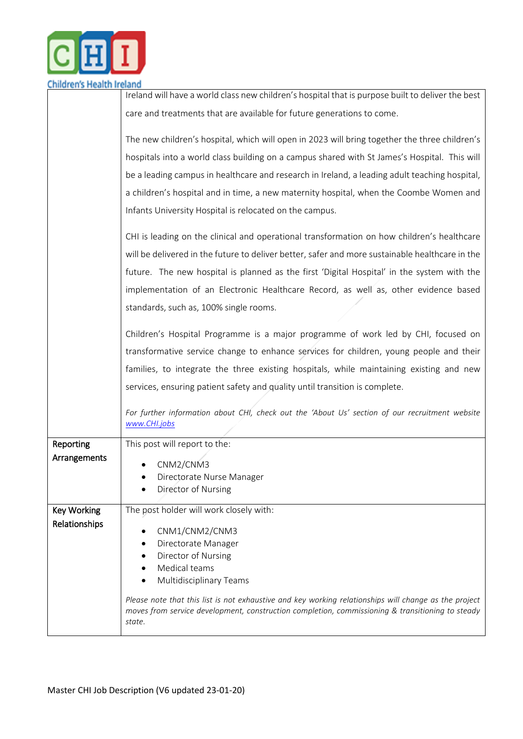

|                    | Ireland will have a world class new children's hospital that is purpose built to deliver the best                                                                                                                   |
|--------------------|---------------------------------------------------------------------------------------------------------------------------------------------------------------------------------------------------------------------|
|                    | care and treatments that are available for future generations to come.                                                                                                                                              |
|                    |                                                                                                                                                                                                                     |
|                    | The new children's hospital, which will open in 2023 will bring together the three children's                                                                                                                       |
|                    | hospitals into a world class building on a campus shared with St James's Hospital. This will                                                                                                                        |
|                    | be a leading campus in healthcare and research in Ireland, a leading adult teaching hospital,                                                                                                                       |
|                    | a children's hospital and in time, a new maternity hospital, when the Coombe Women and                                                                                                                              |
|                    | Infants University Hospital is relocated on the campus.                                                                                                                                                             |
|                    | CHI is leading on the clinical and operational transformation on how children's healthcare                                                                                                                          |
|                    | will be delivered in the future to deliver better, safer and more sustainable healthcare in the                                                                                                                     |
|                    | future. The new hospital is planned as the first 'Digital Hospital' in the system with the                                                                                                                          |
|                    | implementation of an Electronic Healthcare Record, as well as, other evidence based                                                                                                                                 |
|                    | standards, such as, 100% single rooms.                                                                                                                                                                              |
|                    | Children's Hospital Programme is a major programme of work led by CHI, focused on                                                                                                                                   |
|                    | transformative service change to enhance services for children, young people and their                                                                                                                              |
|                    | families, to integrate the three existing hospitals, while maintaining existing and new                                                                                                                             |
|                    | services, ensuring patient safety and quality until transition is complete.                                                                                                                                         |
|                    | For further information about CHI, check out the 'About Us' section of our recruitment website<br>www.CHI.jobs                                                                                                      |
| Reporting          | This post will report to the:                                                                                                                                                                                       |
| Arrangements       | CNM2/CNM3                                                                                                                                                                                                           |
|                    | Directorate Nurse Manager                                                                                                                                                                                           |
|                    | Director of Nursing                                                                                                                                                                                                 |
| <b>Key Working</b> | The post holder will work closely with:                                                                                                                                                                             |
| Relationships      | CNM1/CNM2/CNM3                                                                                                                                                                                                      |
|                    | Directorate Manager                                                                                                                                                                                                 |
|                    | Director of Nursing                                                                                                                                                                                                 |
|                    | Medical teams<br><b>Multidisciplinary Teams</b>                                                                                                                                                                     |
|                    |                                                                                                                                                                                                                     |
|                    | Please note that this list is not exhaustive and key working relationships will change as the project<br>moves from service development, construction completion, commissioning & transitioning to steady<br>state. |
|                    |                                                                                                                                                                                                                     |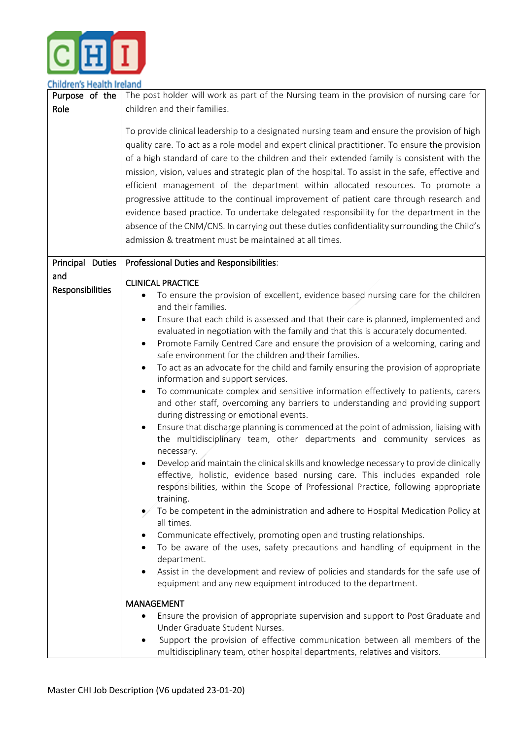

Children's Health Ireland

| כווווטו פווא רוכמונוו וו כומווט<br>Purpose of the | The post holder will work as part of the Nursing team in the provision of nursing care for                                                                                                                                                                                                                                                                                                                                                                                                                                                                                                                                                                                                                                                                                                                                           |  |
|---------------------------------------------------|--------------------------------------------------------------------------------------------------------------------------------------------------------------------------------------------------------------------------------------------------------------------------------------------------------------------------------------------------------------------------------------------------------------------------------------------------------------------------------------------------------------------------------------------------------------------------------------------------------------------------------------------------------------------------------------------------------------------------------------------------------------------------------------------------------------------------------------|--|
| Role                                              | children and their families.                                                                                                                                                                                                                                                                                                                                                                                                                                                                                                                                                                                                                                                                                                                                                                                                         |  |
|                                                   |                                                                                                                                                                                                                                                                                                                                                                                                                                                                                                                                                                                                                                                                                                                                                                                                                                      |  |
|                                                   | To provide clinical leadership to a designated nursing team and ensure the provision of high<br>quality care. To act as a role model and expert clinical practitioner. To ensure the provision<br>of a high standard of care to the children and their extended family is consistent with the<br>mission, vision, values and strategic plan of the hospital. To assist in the safe, effective and<br>efficient management of the department within allocated resources. To promote a<br>progressive attitude to the continual improvement of patient care through research and<br>evidence based practice. To undertake delegated responsibility for the department in the<br>absence of the CNM/CNS. In carrying out these duties confidentiality surrounding the Child's<br>admission & treatment must be maintained at all times. |  |
| Principal Duties                                  | Professional Duties and Responsibilities:                                                                                                                                                                                                                                                                                                                                                                                                                                                                                                                                                                                                                                                                                                                                                                                            |  |
| and                                               |                                                                                                                                                                                                                                                                                                                                                                                                                                                                                                                                                                                                                                                                                                                                                                                                                                      |  |
| Responsibilities                                  | <b>CLINICAL PRACTICE</b>                                                                                                                                                                                                                                                                                                                                                                                                                                                                                                                                                                                                                                                                                                                                                                                                             |  |
|                                                   | To ensure the provision of excellent, evidence based nursing care for the children<br>$\bullet$<br>and their families.                                                                                                                                                                                                                                                                                                                                                                                                                                                                                                                                                                                                                                                                                                               |  |
|                                                   | Ensure that each child is assessed and that their care is planned, implemented and<br>٠                                                                                                                                                                                                                                                                                                                                                                                                                                                                                                                                                                                                                                                                                                                                              |  |
|                                                   | evaluated in negotiation with the family and that this is accurately documented.                                                                                                                                                                                                                                                                                                                                                                                                                                                                                                                                                                                                                                                                                                                                                     |  |
|                                                   | Promote Family Centred Care and ensure the provision of a welcoming, caring and<br>٠                                                                                                                                                                                                                                                                                                                                                                                                                                                                                                                                                                                                                                                                                                                                                 |  |
|                                                   | safe environment for the children and their families.                                                                                                                                                                                                                                                                                                                                                                                                                                                                                                                                                                                                                                                                                                                                                                                |  |
|                                                   | To act as an advocate for the child and family ensuring the provision of appropriate<br>$\bullet$                                                                                                                                                                                                                                                                                                                                                                                                                                                                                                                                                                                                                                                                                                                                    |  |
|                                                   | information and support services.                                                                                                                                                                                                                                                                                                                                                                                                                                                                                                                                                                                                                                                                                                                                                                                                    |  |
|                                                   | To communicate complex and sensitive information effectively to patients, carers<br>٠                                                                                                                                                                                                                                                                                                                                                                                                                                                                                                                                                                                                                                                                                                                                                |  |
|                                                   | and other staff, overcoming any barriers to understanding and providing support                                                                                                                                                                                                                                                                                                                                                                                                                                                                                                                                                                                                                                                                                                                                                      |  |
|                                                   | during distressing or emotional events.                                                                                                                                                                                                                                                                                                                                                                                                                                                                                                                                                                                                                                                                                                                                                                                              |  |
|                                                   | Ensure that discharge planning is commenced at the point of admission, liaising with<br>the multidisciplinary team, other departments and community services as<br>necessary.                                                                                                                                                                                                                                                                                                                                                                                                                                                                                                                                                                                                                                                        |  |
|                                                   | Develop and maintain the clinical skills and knowledge necessary to provide clinically                                                                                                                                                                                                                                                                                                                                                                                                                                                                                                                                                                                                                                                                                                                                               |  |
|                                                   | effective, holistic, evidence based nursing care. This includes expanded role                                                                                                                                                                                                                                                                                                                                                                                                                                                                                                                                                                                                                                                                                                                                                        |  |
|                                                   | responsibilities, within the Scope of Professional Practice, following appropriate<br>training.                                                                                                                                                                                                                                                                                                                                                                                                                                                                                                                                                                                                                                                                                                                                      |  |
|                                                   | To be competent in the administration and adhere to Hospital Medication Policy at                                                                                                                                                                                                                                                                                                                                                                                                                                                                                                                                                                                                                                                                                                                                                    |  |
|                                                   | all times.                                                                                                                                                                                                                                                                                                                                                                                                                                                                                                                                                                                                                                                                                                                                                                                                                           |  |
|                                                   | Communicate effectively, promoting open and trusting relationships.                                                                                                                                                                                                                                                                                                                                                                                                                                                                                                                                                                                                                                                                                                                                                                  |  |
|                                                   | To be aware of the uses, safety precautions and handling of equipment in the                                                                                                                                                                                                                                                                                                                                                                                                                                                                                                                                                                                                                                                                                                                                                         |  |
|                                                   | department.                                                                                                                                                                                                                                                                                                                                                                                                                                                                                                                                                                                                                                                                                                                                                                                                                          |  |
|                                                   | Assist in the development and review of policies and standards for the safe use of<br>٠                                                                                                                                                                                                                                                                                                                                                                                                                                                                                                                                                                                                                                                                                                                                              |  |
|                                                   | equipment and any new equipment introduced to the department.                                                                                                                                                                                                                                                                                                                                                                                                                                                                                                                                                                                                                                                                                                                                                                        |  |
|                                                   | <b>MANAGEMENT</b>                                                                                                                                                                                                                                                                                                                                                                                                                                                                                                                                                                                                                                                                                                                                                                                                                    |  |
|                                                   | Ensure the provision of appropriate supervision and support to Post Graduate and<br>٠                                                                                                                                                                                                                                                                                                                                                                                                                                                                                                                                                                                                                                                                                                                                                |  |
|                                                   | Under Graduate Student Nurses.                                                                                                                                                                                                                                                                                                                                                                                                                                                                                                                                                                                                                                                                                                                                                                                                       |  |
|                                                   | Support the provision of effective communication between all members of the<br>٠                                                                                                                                                                                                                                                                                                                                                                                                                                                                                                                                                                                                                                                                                                                                                     |  |
|                                                   | multidisciplinary team, other hospital departments, relatives and visitors.                                                                                                                                                                                                                                                                                                                                                                                                                                                                                                                                                                                                                                                                                                                                                          |  |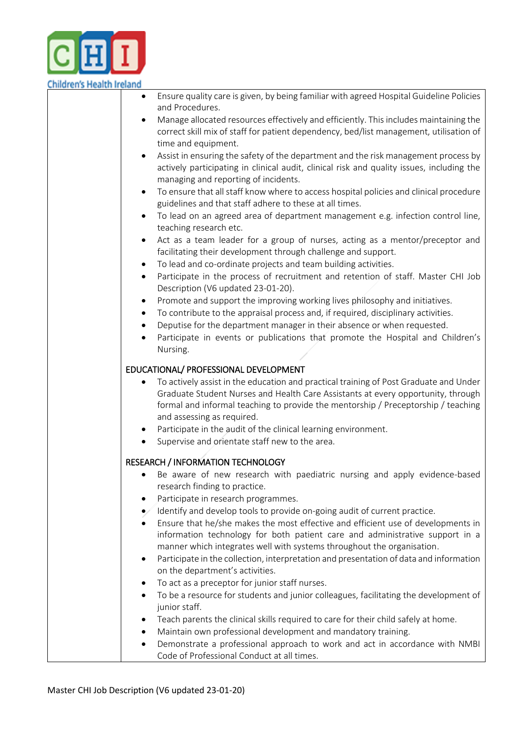

## **Children's Health Ireland**

|                | Ensure quality care is given, by being familiar with agreed Hospital Guideline Policies<br>and Procedures.                                                                                                                                                                                                                                |
|----------------|-------------------------------------------------------------------------------------------------------------------------------------------------------------------------------------------------------------------------------------------------------------------------------------------------------------------------------------------|
|                | Manage allocated resources effectively and efficiently. This includes maintaining the<br>correct skill mix of staff for patient dependency, bed/list management, utilisation of<br>time and equipment.                                                                                                                                    |
| $\bullet$      | Assist in ensuring the safety of the department and the risk management process by<br>actively participating in clinical audit, clinical risk and quality issues, including the<br>managing and reporting of incidents.                                                                                                                   |
| ٠              | To ensure that all staff know where to access hospital policies and clinical procedure<br>guidelines and that staff adhere to these at all times.                                                                                                                                                                                         |
| $\bullet$      | To lead on an agreed area of department management e.g. infection control line,<br>teaching research etc.                                                                                                                                                                                                                                 |
| $\bullet$<br>٠ | Act as a team leader for a group of nurses, acting as a mentor/preceptor and<br>facilitating their development through challenge and support.<br>To lead and co-ordinate projects and team building activities.                                                                                                                           |
| $\bullet$      | Participate in the process of recruitment and retention of staff. Master CHI Job<br>Description (V6 updated 23-01-20).                                                                                                                                                                                                                    |
| ٠<br>٠         | Promote and support the improving working lives philosophy and initiatives.<br>To contribute to the appraisal process and, if required, disciplinary activities.<br>Deputise for the department manager in their absence or when requested.<br>Participate in events or publications that promote the Hospital and Children's<br>Nursing. |
|                | EDUCATIONAL/ PROFESSIONAL DEVELOPMENT                                                                                                                                                                                                                                                                                                     |
|                | To actively assist in the education and practical training of Post Graduate and Under<br>Graduate Student Nurses and Health Care Assistants at every opportunity, through<br>formal and informal teaching to provide the mentorship / Preceptorship / teaching<br>and assessing as required.                                              |
| ٠              | Participate in the audit of the clinical learning environment.<br>Supervise and orientate staff new to the area.                                                                                                                                                                                                                          |
| $\bullet$      | <b>RESEARCH / INFORMATION TECHNOLOGY</b><br>Be aware of new research with paediatric nursing and apply evidence-based<br>research finding to practice.                                                                                                                                                                                    |
|                | Participate in research programmes.                                                                                                                                                                                                                                                                                                       |
|                | Identify and develop tools to provide on-going audit of current practice.<br>Ensure that he/she makes the most effective and efficient use of developments in<br>information technology for both patient care and administrative support in a<br>manner which integrates well with systems throughout the organisation.                   |
| ٠              | Participate in the collection, interpretation and presentation of data and information<br>on the department's activities.                                                                                                                                                                                                                 |
|                | To act as a preceptor for junior staff nurses.                                                                                                                                                                                                                                                                                            |
| ٠              | To be a resource for students and junior colleagues, facilitating the development of<br>junior staff.                                                                                                                                                                                                                                     |
|                | Teach parents the clinical skills required to care for their child safely at home.<br>Maintain own professional development and mandatory training.                                                                                                                                                                                       |

 Demonstrate a professional approach to work and act in accordance with NMBI Code of Professional Conduct at all times.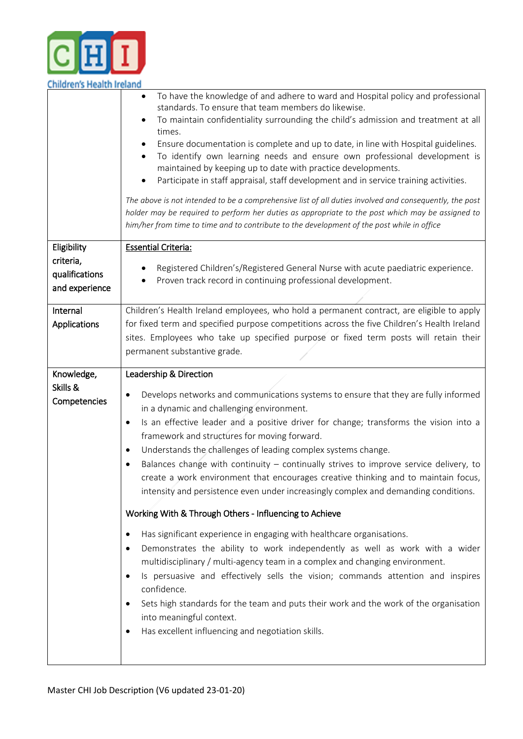

| Children's Health Ireland                     |                                                                                                                                                                                                                                                                                                                                                                                                                                                                                                                                                                                                                                                                                                                                                                                                                                                                                      |  |
|-----------------------------------------------|--------------------------------------------------------------------------------------------------------------------------------------------------------------------------------------------------------------------------------------------------------------------------------------------------------------------------------------------------------------------------------------------------------------------------------------------------------------------------------------------------------------------------------------------------------------------------------------------------------------------------------------------------------------------------------------------------------------------------------------------------------------------------------------------------------------------------------------------------------------------------------------|--|
|                                               | To have the knowledge of and adhere to ward and Hospital policy and professional<br>٠<br>standards. To ensure that team members do likewise.<br>To maintain confidentiality surrounding the child's admission and treatment at all<br>times.<br>Ensure documentation is complete and up to date, in line with Hospital guidelines.<br>To identify own learning needs and ensure own professional development is<br>maintained by keeping up to date with practice developments.<br>Participate in staff appraisal, staff development and in service training activities.<br>The above is not intended to be a comprehensive list of all duties involved and consequently, the post<br>holder may be required to perform her duties as appropriate to the post which may be assigned to<br>him/her from time to time and to contribute to the development of the post while in office |  |
| Eligibility                                   | <b>Essential Criteria:</b>                                                                                                                                                                                                                                                                                                                                                                                                                                                                                                                                                                                                                                                                                                                                                                                                                                                           |  |
| criteria,<br>qualifications<br>and experience | Registered Children's/Registered General Nurse with acute paediatric experience.<br>Proven track record in continuing professional development.                                                                                                                                                                                                                                                                                                                                                                                                                                                                                                                                                                                                                                                                                                                                      |  |
| Internal                                      | Children's Health Ireland employees, who hold a permanent contract, are eligible to apply                                                                                                                                                                                                                                                                                                                                                                                                                                                                                                                                                                                                                                                                                                                                                                                            |  |
| Applications                                  | for fixed term and specified purpose competitions across the five Children's Health Ireland                                                                                                                                                                                                                                                                                                                                                                                                                                                                                                                                                                                                                                                                                                                                                                                          |  |
|                                               | sites. Employees who take up specified purpose or fixed term posts will retain their                                                                                                                                                                                                                                                                                                                                                                                                                                                                                                                                                                                                                                                                                                                                                                                                 |  |
|                                               |                                                                                                                                                                                                                                                                                                                                                                                                                                                                                                                                                                                                                                                                                                                                                                                                                                                                                      |  |
|                                               | permanent substantive grade.                                                                                                                                                                                                                                                                                                                                                                                                                                                                                                                                                                                                                                                                                                                                                                                                                                                         |  |
|                                               |                                                                                                                                                                                                                                                                                                                                                                                                                                                                                                                                                                                                                                                                                                                                                                                                                                                                                      |  |
| Knowledge,                                    | Leadership & Direction                                                                                                                                                                                                                                                                                                                                                                                                                                                                                                                                                                                                                                                                                                                                                                                                                                                               |  |
| Skills &                                      |                                                                                                                                                                                                                                                                                                                                                                                                                                                                                                                                                                                                                                                                                                                                                                                                                                                                                      |  |
| Competencies                                  | Develops networks and communications systems to ensure that they are fully informed<br>$\bullet$                                                                                                                                                                                                                                                                                                                                                                                                                                                                                                                                                                                                                                                                                                                                                                                     |  |
|                                               | in a dynamic and challenging environment.                                                                                                                                                                                                                                                                                                                                                                                                                                                                                                                                                                                                                                                                                                                                                                                                                                            |  |
|                                               | Is an effective leader and a positive driver for change; transforms the vision into a<br>٠                                                                                                                                                                                                                                                                                                                                                                                                                                                                                                                                                                                                                                                                                                                                                                                           |  |
|                                               | framework and structures for moving forward.                                                                                                                                                                                                                                                                                                                                                                                                                                                                                                                                                                                                                                                                                                                                                                                                                                         |  |
|                                               |                                                                                                                                                                                                                                                                                                                                                                                                                                                                                                                                                                                                                                                                                                                                                                                                                                                                                      |  |
|                                               | Understands the challenges of leading complex systems change.<br>$\bullet$                                                                                                                                                                                                                                                                                                                                                                                                                                                                                                                                                                                                                                                                                                                                                                                                           |  |
|                                               | Balances change with continuity - continually strives to improve service delivery, to<br>٠                                                                                                                                                                                                                                                                                                                                                                                                                                                                                                                                                                                                                                                                                                                                                                                           |  |
|                                               | create a work environment that encourages creative thinking and to maintain focus,                                                                                                                                                                                                                                                                                                                                                                                                                                                                                                                                                                                                                                                                                                                                                                                                   |  |
|                                               | intensity and persistence even under increasingly complex and demanding conditions.                                                                                                                                                                                                                                                                                                                                                                                                                                                                                                                                                                                                                                                                                                                                                                                                  |  |
|                                               |                                                                                                                                                                                                                                                                                                                                                                                                                                                                                                                                                                                                                                                                                                                                                                                                                                                                                      |  |
|                                               | Working With & Through Others - Influencing to Achieve                                                                                                                                                                                                                                                                                                                                                                                                                                                                                                                                                                                                                                                                                                                                                                                                                               |  |
|                                               | Has significant experience in engaging with healthcare organisations.<br>$\bullet$                                                                                                                                                                                                                                                                                                                                                                                                                                                                                                                                                                                                                                                                                                                                                                                                   |  |
|                                               |                                                                                                                                                                                                                                                                                                                                                                                                                                                                                                                                                                                                                                                                                                                                                                                                                                                                                      |  |
|                                               | Demonstrates the ability to work independently as well as work with a wider<br>$\bullet$                                                                                                                                                                                                                                                                                                                                                                                                                                                                                                                                                                                                                                                                                                                                                                                             |  |
|                                               | multidisciplinary / multi-agency team in a complex and changing environment.                                                                                                                                                                                                                                                                                                                                                                                                                                                                                                                                                                                                                                                                                                                                                                                                         |  |
|                                               | Is persuasive and effectively sells the vision; commands attention and inspires<br>$\bullet$                                                                                                                                                                                                                                                                                                                                                                                                                                                                                                                                                                                                                                                                                                                                                                                         |  |
|                                               | confidence.                                                                                                                                                                                                                                                                                                                                                                                                                                                                                                                                                                                                                                                                                                                                                                                                                                                                          |  |
|                                               | Sets high standards for the team and puts their work and the work of the organisation<br>$\bullet$                                                                                                                                                                                                                                                                                                                                                                                                                                                                                                                                                                                                                                                                                                                                                                                   |  |
|                                               |                                                                                                                                                                                                                                                                                                                                                                                                                                                                                                                                                                                                                                                                                                                                                                                                                                                                                      |  |
|                                               | into meaningful context.                                                                                                                                                                                                                                                                                                                                                                                                                                                                                                                                                                                                                                                                                                                                                                                                                                                             |  |
|                                               | Has excellent influencing and negotiation skills.<br>٠                                                                                                                                                                                                                                                                                                                                                                                                                                                                                                                                                                                                                                                                                                                                                                                                                               |  |
|                                               |                                                                                                                                                                                                                                                                                                                                                                                                                                                                                                                                                                                                                                                                                                                                                                                                                                                                                      |  |
|                                               |                                                                                                                                                                                                                                                                                                                                                                                                                                                                                                                                                                                                                                                                                                                                                                                                                                                                                      |  |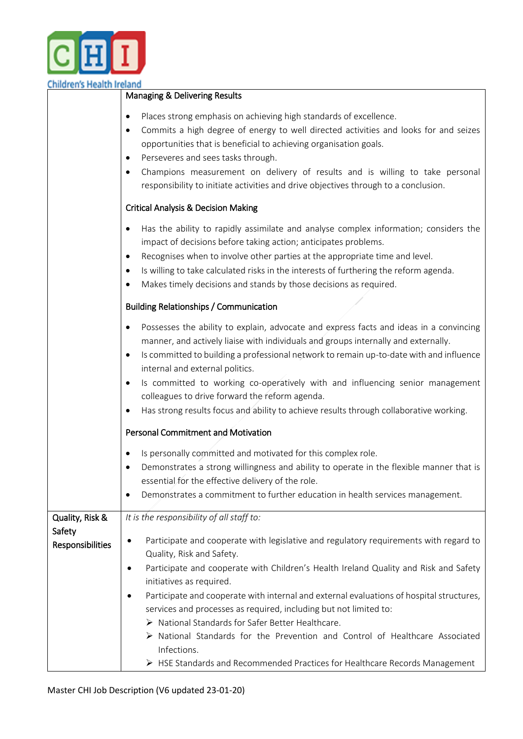

| Children's Health Ireland                                                                                                                                                                                                                                                                                                                                                                                                                                                                                                                            | Managing & Delivering Results                                                                                                                                                                                                                                                                                                                                                                                                                                                                                                                                                                                                                                                              |  |
|------------------------------------------------------------------------------------------------------------------------------------------------------------------------------------------------------------------------------------------------------------------------------------------------------------------------------------------------------------------------------------------------------------------------------------------------------------------------------------------------------------------------------------------------------|--------------------------------------------------------------------------------------------------------------------------------------------------------------------------------------------------------------------------------------------------------------------------------------------------------------------------------------------------------------------------------------------------------------------------------------------------------------------------------------------------------------------------------------------------------------------------------------------------------------------------------------------------------------------------------------------|--|
|                                                                                                                                                                                                                                                                                                                                                                                                                                                                                                                                                      | Places strong emphasis on achieving high standards of excellence.<br>٠<br>Commits a high degree of energy to well directed activities and looks for and seizes<br>opportunities that is beneficial to achieving organisation goals.<br>Perseveres and sees tasks through.<br>Champions measurement on delivery of results and is willing to take personal<br>responsibility to initiate activities and drive objectives through to a conclusion.                                                                                                                                                                                                                                           |  |
|                                                                                                                                                                                                                                                                                                                                                                                                                                                                                                                                                      | <b>Critical Analysis &amp; Decision Making</b>                                                                                                                                                                                                                                                                                                                                                                                                                                                                                                                                                                                                                                             |  |
|                                                                                                                                                                                                                                                                                                                                                                                                                                                                                                                                                      | Has the ability to rapidly assimilate and analyse complex information; considers the<br>$\bullet$<br>impact of decisions before taking action; anticipates problems.<br>Recognises when to involve other parties at the appropriate time and level.<br>Is willing to take calculated risks in the interests of furthering the reform agenda.<br>$\bullet$<br>Makes timely decisions and stands by those decisions as required.                                                                                                                                                                                                                                                             |  |
| <b>Building Relationships / Communication</b>                                                                                                                                                                                                                                                                                                                                                                                                                                                                                                        |                                                                                                                                                                                                                                                                                                                                                                                                                                                                                                                                                                                                                                                                                            |  |
| Possesses the ability to explain, advocate and express facts and ideas in a convincing<br>$\bullet$<br>manner, and actively liaise with individuals and groups internally and externally.<br>Is committed to building a professional network to remain up-to-date with and influence<br>internal and external politics.<br>Is committed to working co-operatively with and influencing senior management<br>colleagues to drive forward the reform agenda.<br>Has strong results focus and ability to achieve results through collaborative working. |                                                                                                                                                                                                                                                                                                                                                                                                                                                                                                                                                                                                                                                                                            |  |
|                                                                                                                                                                                                                                                                                                                                                                                                                                                                                                                                                      | Personal Commitment and Motivation                                                                                                                                                                                                                                                                                                                                                                                                                                                                                                                                                                                                                                                         |  |
|                                                                                                                                                                                                                                                                                                                                                                                                                                                                                                                                                      | Is personally committed and motivated for this complex role.<br>Demonstrates a strong willingness and ability to operate in the flexible manner that is<br>essential for the effective delivery of the role.<br>Demonstrates a commitment to further education in health services management.                                                                                                                                                                                                                                                                                                                                                                                              |  |
| Quality, Risk &                                                                                                                                                                                                                                                                                                                                                                                                                                                                                                                                      | It is the responsibility of all staff to:                                                                                                                                                                                                                                                                                                                                                                                                                                                                                                                                                                                                                                                  |  |
| Safety<br>Responsibilities                                                                                                                                                                                                                                                                                                                                                                                                                                                                                                                           | Participate and cooperate with legislative and regulatory requirements with regard to<br>٠<br>Quality, Risk and Safety.<br>Participate and cooperate with Children's Health Ireland Quality and Risk and Safety<br>initiatives as required.<br>Participate and cooperate with internal and external evaluations of hospital structures,<br>$\bullet$<br>services and processes as required, including but not limited to:<br>> National Standards for Safer Better Healthcare.<br>$\triangleright$ National Standards for the Prevention and Control of Healthcare Associated<br>Infections.<br>$\triangleright$ HSE Standards and Recommended Practices for Healthcare Records Management |  |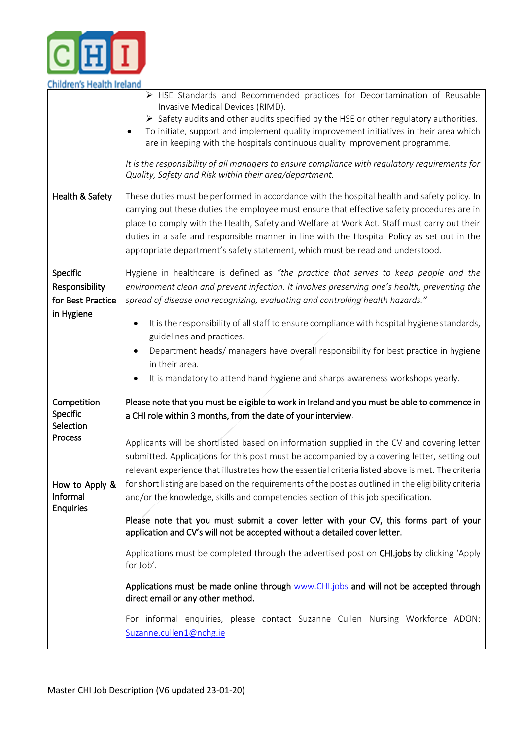

| Children's Health Ireland            |                                                                                                                                                                                                                                                                                                                                                                                                                                                                                                                                                                            |
|--------------------------------------|----------------------------------------------------------------------------------------------------------------------------------------------------------------------------------------------------------------------------------------------------------------------------------------------------------------------------------------------------------------------------------------------------------------------------------------------------------------------------------------------------------------------------------------------------------------------------|
|                                      | $\triangleright$ HSE Standards and Recommended practices for Decontamination of Reusable<br>Invasive Medical Devices (RIMD).<br>$\triangleright$ Safety audits and other audits specified by the HSE or other regulatory authorities.<br>To initiate, support and implement quality improvement initiatives in their area which<br>are in keeping with the hospitals continuous quality improvement programme.<br>It is the responsibility of all managers to ensure compliance with regulatory requirements for<br>Quality, Safety and Risk within their area/department. |
| Health & Safety                      | These duties must be performed in accordance with the hospital health and safety policy. In                                                                                                                                                                                                                                                                                                                                                                                                                                                                                |
|                                      | carrying out these duties the employee must ensure that effective safety procedures are in                                                                                                                                                                                                                                                                                                                                                                                                                                                                                 |
|                                      | place to comply with the Health, Safety and Welfare at Work Act. Staff must carry out their                                                                                                                                                                                                                                                                                                                                                                                                                                                                                |
|                                      | duties in a safe and responsible manner in line with the Hospital Policy as set out in the                                                                                                                                                                                                                                                                                                                                                                                                                                                                                 |
|                                      |                                                                                                                                                                                                                                                                                                                                                                                                                                                                                                                                                                            |
|                                      | appropriate department's safety statement, which must be read and understood.                                                                                                                                                                                                                                                                                                                                                                                                                                                                                              |
| Specific                             | Hygiene in healthcare is defined as "the practice that serves to keep people and the                                                                                                                                                                                                                                                                                                                                                                                                                                                                                       |
| Responsibility                       | environment clean and prevent infection. It involves preserving one's health, preventing the                                                                                                                                                                                                                                                                                                                                                                                                                                                                               |
|                                      |                                                                                                                                                                                                                                                                                                                                                                                                                                                                                                                                                                            |
| for Best Practice                    | spread of disease and recognizing, evaluating and controlling health hazards."                                                                                                                                                                                                                                                                                                                                                                                                                                                                                             |
| in Hygiene                           | It is the responsibility of all staff to ensure compliance with hospital hygiene standards,<br>guidelines and practices.                                                                                                                                                                                                                                                                                                                                                                                                                                                   |
|                                      | Department heads/ managers have overall responsibility for best practice in hygiene<br>in their area.                                                                                                                                                                                                                                                                                                                                                                                                                                                                      |
|                                      | It is mandatory to attend hand hygiene and sharps awareness workshops yearly.                                                                                                                                                                                                                                                                                                                                                                                                                                                                                              |
| Competition<br>Specific<br>Selection | Please note that you must be eligible to work in Ireland and you must be able to commence in<br>a CHI role within 3 months, from the date of your interview.                                                                                                                                                                                                                                                                                                                                                                                                               |
| Process<br>How to Apply &            | Applicants will be shortlisted based on information supplied in the CV and covering letter<br>submitted. Applications for this post must be accompanied by a covering letter, setting out<br>relevant experience that illustrates how the essential criteria listed above is met. The criteria<br>for short listing are based on the requirements of the post as outlined in the eligibility criteria                                                                                                                                                                      |
| Informal<br><b>Enquiries</b>         | and/or the knowledge, skills and competencies section of this job specification.                                                                                                                                                                                                                                                                                                                                                                                                                                                                                           |
|                                      | Please note that you must submit a cover letter with your CV, this forms part of your<br>application and CV's will not be accepted without a detailed cover letter.                                                                                                                                                                                                                                                                                                                                                                                                        |
|                                      | Applications must be completed through the advertised post on CHI.jobs by clicking 'Apply<br>for Job'.                                                                                                                                                                                                                                                                                                                                                                                                                                                                     |
|                                      | Applications must be made online through www.CHI.jobs and will not be accepted through<br>direct email or any other method.                                                                                                                                                                                                                                                                                                                                                                                                                                                |
|                                      | For informal enquiries, please contact Suzanne Cullen Nursing Workforce ADON:<br>Suzanne.cullen1@nchg.ie                                                                                                                                                                                                                                                                                                                                                                                                                                                                   |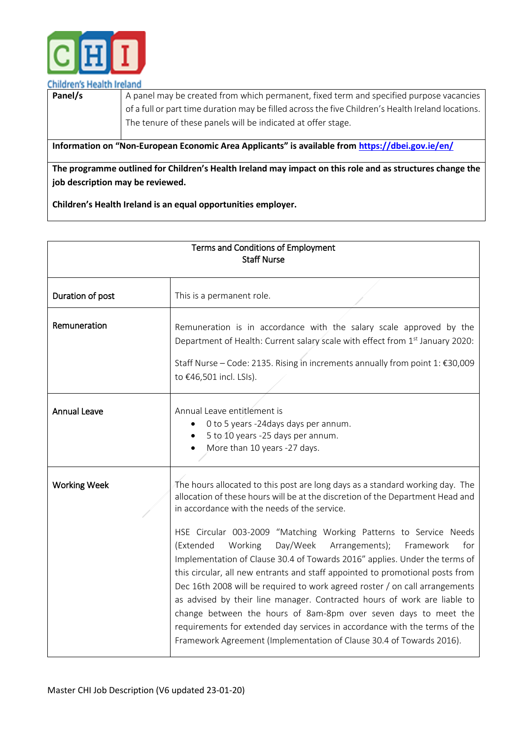

## **Children's Health Ireland**

| Panel/s                                                                                          | A panel may be created from which permanent, fixed term and specified purpose vacancies            |
|--------------------------------------------------------------------------------------------------|----------------------------------------------------------------------------------------------------|
|                                                                                                  | of a full or part time duration may be filled across the five Children's Health Ireland locations. |
|                                                                                                  | The tenure of these panels will be indicated at offer stage.                                       |
|                                                                                                  |                                                                                                    |
| Information on "Non-European Economic Area Applicants" is available from https://dbei.gov.ie/en/ |                                                                                                    |
|                                                                                                  |                                                                                                    |

**The programme outlined for Children's Health Ireland may impact on this role and as structures change the job description may be reviewed.**

**Children's Health Ireland is an equal opportunities employer.**

| Terms and Conditions of Employment<br><b>Staff Nurse</b> |                                                                                                                                                                                                                                                                                                                                                                                                                                                                                                                                                                                                                                                                                                                                                                                                                                                                                                                   |
|----------------------------------------------------------|-------------------------------------------------------------------------------------------------------------------------------------------------------------------------------------------------------------------------------------------------------------------------------------------------------------------------------------------------------------------------------------------------------------------------------------------------------------------------------------------------------------------------------------------------------------------------------------------------------------------------------------------------------------------------------------------------------------------------------------------------------------------------------------------------------------------------------------------------------------------------------------------------------------------|
| Duration of post                                         | This is a permanent role.                                                                                                                                                                                                                                                                                                                                                                                                                                                                                                                                                                                                                                                                                                                                                                                                                                                                                         |
| Remuneration                                             | Remuneration is in accordance with the salary scale approved by the<br>Department of Health: Current salary scale with effect from 1st January 2020:<br>Staff Nurse - Code: 2135. Rising in increments annually from point 1: €30,009<br>to €46,501 incl. LSIs).                                                                                                                                                                                                                                                                                                                                                                                                                                                                                                                                                                                                                                                  |
| <b>Annual Leave</b>                                      | Annual Leave entitlement is<br>0 to 5 years -24days days per annum.<br>5 to 10 years -25 days per annum.<br>More than 10 years -27 days.                                                                                                                                                                                                                                                                                                                                                                                                                                                                                                                                                                                                                                                                                                                                                                          |
| <b>Working Week</b>                                      | The hours allocated to this post are long days as a standard working day. The<br>allocation of these hours will be at the discretion of the Department Head and<br>in accordance with the needs of the service.<br>HSE Circular 003-2009 "Matching Working Patterns to Service Needs<br>Day/Week<br>(Extended<br>Working<br>Arrangements);<br>for<br>Framework<br>Implementation of Clause 30.4 of Towards 2016" applies. Under the terms of<br>this circular, all new entrants and staff appointed to promotional posts from<br>Dec 16th 2008 will be required to work agreed roster / on call arrangements<br>as advised by their line manager. Contracted hours of work are liable to<br>change between the hours of 8am-8pm over seven days to meet the<br>requirements for extended day services in accordance with the terms of the<br>Framework Agreement (Implementation of Clause 30.4 of Towards 2016). |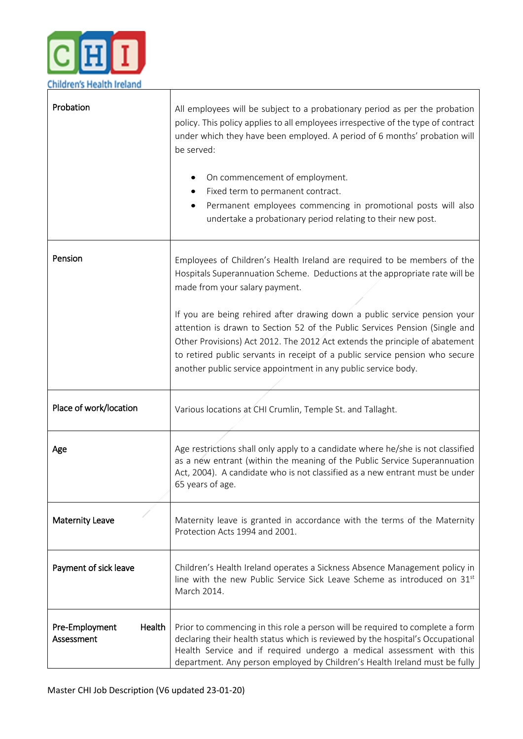

| Probation                              | All employees will be subject to a probationary period as per the probation<br>policy. This policy applies to all employees irrespective of the type of contract<br>under which they have been employed. A period of 6 months' probation will<br>be served:<br>On commencement of employment.<br>Fixed term to permanent contract.<br>Permanent employees commencing in promotional posts will also<br>undertake a probationary period relating to their new post.                                                                                                                     |
|----------------------------------------|----------------------------------------------------------------------------------------------------------------------------------------------------------------------------------------------------------------------------------------------------------------------------------------------------------------------------------------------------------------------------------------------------------------------------------------------------------------------------------------------------------------------------------------------------------------------------------------|
| Pension                                | Employees of Children's Health Ireland are required to be members of the<br>Hospitals Superannuation Scheme. Deductions at the appropriate rate will be<br>made from your salary payment.<br>If you are being rehired after drawing down a public service pension your<br>attention is drawn to Section 52 of the Public Services Pension (Single and<br>Other Provisions) Act 2012. The 2012 Act extends the principle of abatement<br>to retired public servants in receipt of a public service pension who secure<br>another public service appointment in any public service body. |
| Place of work/location                 | Various locations at CHI Crumlin, Temple St. and Tallaght.                                                                                                                                                                                                                                                                                                                                                                                                                                                                                                                             |
| Age                                    | Age restrictions shall only apply to a candidate where he/she is not classified<br>as a new entrant (within the meaning of the Public Service Superannuation<br>Act, 2004). A candidate who is not classified as a new entrant must be under<br>65 years of age.                                                                                                                                                                                                                                                                                                                       |
| <b>Maternity Leave</b>                 | Maternity leave is granted in accordance with the terms of the Maternity<br>Protection Acts 1994 and 2001.                                                                                                                                                                                                                                                                                                                                                                                                                                                                             |
| Payment of sick leave                  | Children's Health Ireland operates a Sickness Absence Management policy in<br>line with the new Public Service Sick Leave Scheme as introduced on 31st<br>March 2014.                                                                                                                                                                                                                                                                                                                                                                                                                  |
| Pre-Employment<br>Health<br>Assessment | Prior to commencing in this role a person will be required to complete a form<br>declaring their health status which is reviewed by the hospital's Occupational<br>Health Service and if required undergo a medical assessment with this<br>department. Any person employed by Children's Health Ireland must be fully                                                                                                                                                                                                                                                                 |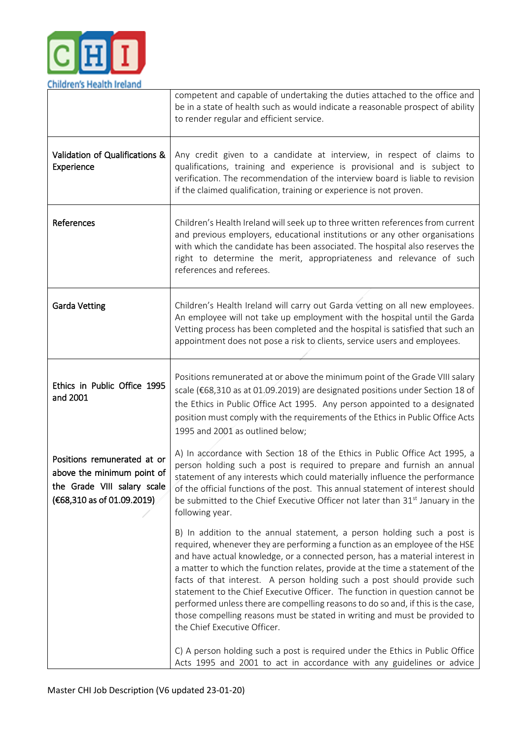

|                                                                                                                          | competent and capable of undertaking the duties attached to the office and<br>be in a state of health such as would indicate a reasonable prospect of ability<br>to render regular and efficient service.                                                                                                                                                                                                                                                                                                                                                                                                                                                                              |
|--------------------------------------------------------------------------------------------------------------------------|----------------------------------------------------------------------------------------------------------------------------------------------------------------------------------------------------------------------------------------------------------------------------------------------------------------------------------------------------------------------------------------------------------------------------------------------------------------------------------------------------------------------------------------------------------------------------------------------------------------------------------------------------------------------------------------|
| Validation of Qualifications &<br>Experience                                                                             | Any credit given to a candidate at interview, in respect of claims to<br>qualifications, training and experience is provisional and is subject to<br>verification. The recommendation of the interview board is liable to revision<br>if the claimed qualification, training or experience is not proven.                                                                                                                                                                                                                                                                                                                                                                              |
| References                                                                                                               | Children's Health Ireland will seek up to three written references from current<br>and previous employers, educational institutions or any other organisations<br>with which the candidate has been associated. The hospital also reserves the<br>right to determine the merit, appropriateness and relevance of such<br>references and referees.                                                                                                                                                                                                                                                                                                                                      |
| <b>Garda Vetting</b>                                                                                                     | Children's Health Ireland will carry out Garda vetting on all new employees.<br>An employee will not take up employment with the hospital until the Garda<br>Vetting process has been completed and the hospital is satisfied that such an<br>appointment does not pose a risk to clients, service users and employees.                                                                                                                                                                                                                                                                                                                                                                |
| Ethics in Public Office 1995<br>and 2001                                                                                 | Positions remunerated at or above the minimum point of the Grade VIII salary<br>scale (€68,310 as at 01.09.2019) are designated positions under Section 18 of<br>the Ethics in Public Office Act 1995. Any person appointed to a designated<br>position must comply with the requirements of the Ethics in Public Office Acts<br>1995 and 2001 as outlined below;                                                                                                                                                                                                                                                                                                                      |
| Positions remunerated at or<br>above the minimum point of<br>the Grade VIII salary scale<br>$(€68,310$ as of 01.09.2019) | A) In accordance with Section 18 of the Ethics in Public Office Act 1995, a<br>person holding such a post is required to prepare and furnish an annual<br>statement of any interests which could materially influence the performance<br>of the official functions of the post. This annual statement of interest should<br>be submitted to the Chief Executive Officer not later than 31 <sup>st</sup> January in the<br>following year.                                                                                                                                                                                                                                              |
|                                                                                                                          | B) In addition to the annual statement, a person holding such a post is<br>required, whenever they are performing a function as an employee of the HSE<br>and have actual knowledge, or a connected person, has a material interest in<br>a matter to which the function relates, provide at the time a statement of the<br>facts of that interest. A person holding such a post should provide such<br>statement to the Chief Executive Officer. The function in question cannot be<br>performed unless there are compelling reasons to do so and, if this is the case,<br>those compelling reasons must be stated in writing and must be provided to<br>the Chief Executive Officer. |
|                                                                                                                          | C) A person holding such a post is required under the Ethics in Public Office<br>Acts 1995 and 2001 to act in accordance with any guidelines or advice                                                                                                                                                                                                                                                                                                                                                                                                                                                                                                                                 |